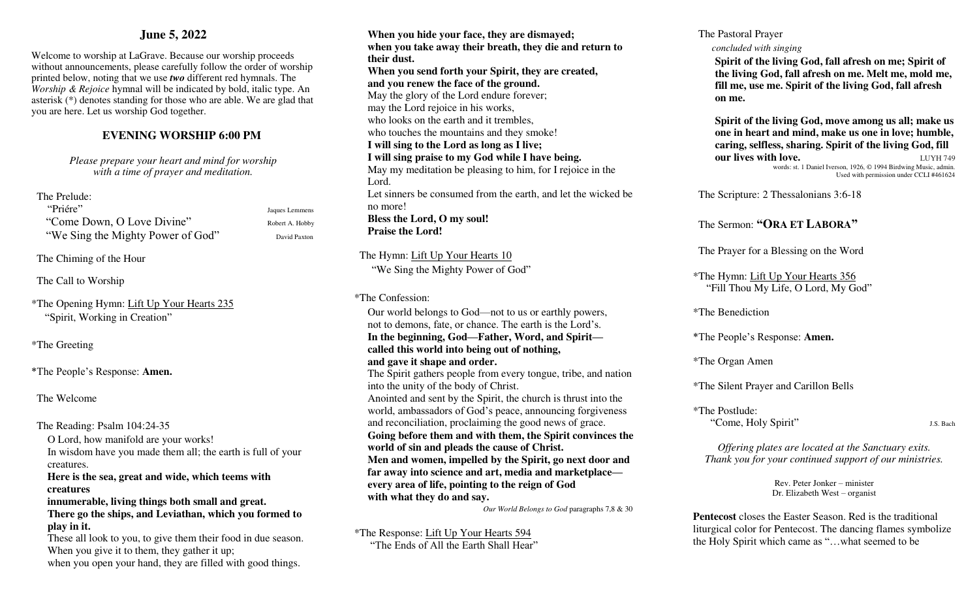## **June 5, 2022**

Welcome to worship at LaGrave. Because our worship proceeds without announcements, please carefully follow the order of worship printed below, noting that we use *two* different red hymnals. The *Worship & Rejoice* hymnal will be indicated by bold, italic type. An asterisk (\*) denotes standing for those who are able. We are glad that you are here. Let us worship God together.

## **EVENING WORSHIP 6:00 PM**

*Please prepare your heart and mind for worship with a time of prayer and meditation.* 

### The Prelude:

"Priére" Jaques Lemmens "Come Down, O Love Divine" Robert A. Hobby "We Sing the Mighty Power of God" David Paxton

The Chiming of the Hour

The Call to Worship

\*The Opening Hymn: Lift Up Your Hearts 235 "Spirit, Working in Creation"

\*The Greeting

\*The People's Response: **Amen.** 

The Welcome

The Reading: Psalm 104:24-35

O Lord, how manifold are your works!

 In wisdom have you made them all; the earth is full of your creatures.

 **Here is the sea, great and wide, which teems with creatures** 

 **innumerable, living things both small and great. There go the ships, and Leviathan, which you formed to play in it.** 

 These all look to you, to give them their food in due season. When you give it to them, they gather it up; when you open your hand, they are filled with good things.

 **When you hide your face, they are dismayed; when you take away their breath, they die and return to their dust. When you send forth your Spirit, they are created, and you renew the face of the ground.**  May the glory of the Lord endure forever; may the Lord rejoice in his works, who looks on the earth and it trembles, who touches the mountains and they smoke!  **I will sing to the Lord as long as I live; I will sing praise to my God while I have being.**  May my meditation be pleasing to him, for I rejoice in the Lord. Let sinners be consumed from the earth, and let the wicked be no more!  **Bless the Lord, O my soul! Praise the Lord!**

 The Hymn: Lift Up Your Hearts 10 "We Sing the Mighty Power of God"

### \*The Confession:

 Our world belongs to God—not to us or earthly powers, not to demons, fate, or chance. The earth is the Lord's. **In the beginning, God—Father, Word, and Spirit called this world into being out of nothing, and gave it shape and order.**  The Spirit gathers people from every tongue, tribe, and nation into the unity of the body of Christ. Anointed and sent by the Spirit, the church is thrust into the world, ambassadors of God's peace, announcing forgiveness and reconciliation, proclaiming the good news of grace. **Going before them and with them, the Spirit convinces the world of sin and pleads the cause of Christ. Men and women, impelled by the Spirit, go next door and far away into science and art, media and marketplace every area of life, pointing to the reign of God with what they do and say.** 

*Our World Belongs to God* paragraphs 7,8 & 30

\*The Response: Lift Up Your Hearts 594 "The Ends of All the Earth Shall Hear" The Pastoral Prayer

*concluded with singing* 

**Spirit of the living God, fall afresh on me; Spirit of the living God, fall afresh on me. Melt me, mold me, fill me, use me. Spirit of the living God, fall afresh on me.** 

**Spirit of the living God, move among us all; make us one in heart and mind, make us one in love; humble, caring, selfless, sharing. Spirit of the living God, fill our lives with love.** LUYH 749

 words: st. 1 Daniel Iverson, 1926, © 1994 Birdwing Music, admin. Used with permission under CCLI #461624

The Scripture: 2 Thessalonians 3:6-18

# The Sermon: **"ORA ET LABORA"**

The Prayer for a Blessing on the Word

\*The Hymn: Lift Up Your Hearts 356 "Fill Thou My Life, O Lord, My God"

\*The Benediction

\*The People's Response: **Amen.**

\*The Organ Amen

\*The Silent Prayer and Carillon Bells

\*The Postlude: "Come, Holy Spirit" J.S. Bach

*Offering plates are located at the Sanctuary exits. Thank you for your continued support of our ministries.* 

> Rev. Peter Jonker – minister Dr. Elizabeth West – organist

**Pentecost** closes the Easter Season. Red is the traditional liturgical color for Pentecost. The dancing flames symbolize the Holy Spirit which came as "…what seemed to be